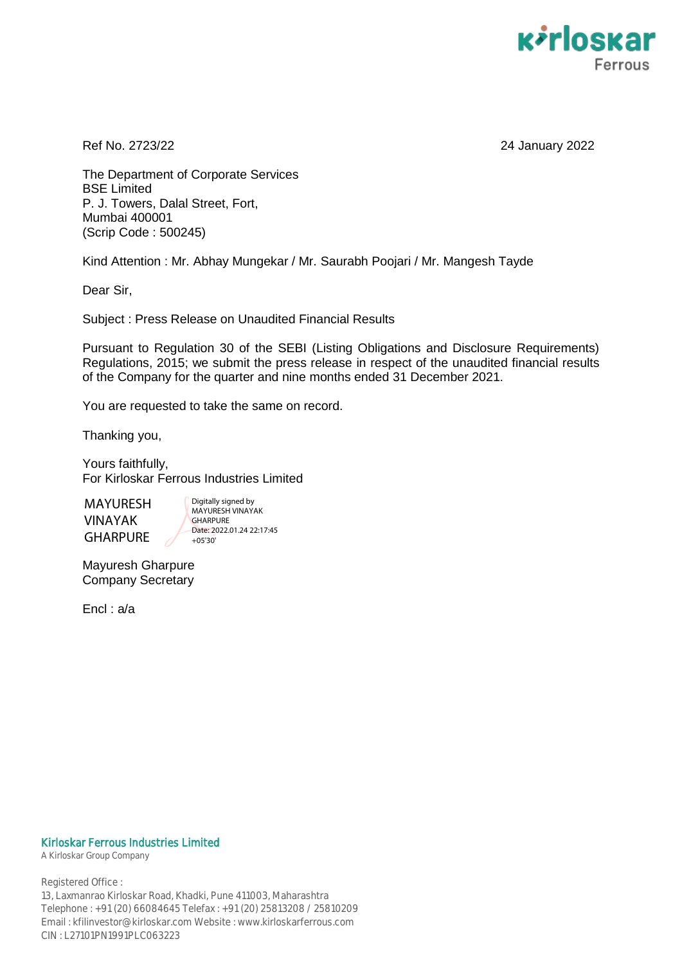

Ref No. 2723/22 24 January 2022

The Department of Corporate Services BSE Limited P. J. Towers, Dalal Street, Fort, Mumbai 400001 (Scrip Code : 500245)

Kind Attention : Mr. Abhay Mungekar / Mr. Saurabh Poojari / Mr. Mangesh Tayde

Dear Sir,

Subject : Press Release on Unaudited Financial Results

Pursuant to Regulation 30 of the SEBI (Listing Obligations and Disclosure Requirements) Regulations, 2015; we submit the press release in respect of the unaudited financial results of the Company for the quarter and nine months ended 31 December 2021.

You are requested to take the same on record.

Thanking you,

Yours faithfully, For Kirloskar Ferrous Industries Limited

MAYURESH VINAYAK GHARPURE

Digitally signed by MAYURESH VINAYAK **GHARPURE** Date: 2022.01.24 22:17:45 +05'30'

Mayuresh Gharpure Company Secretary

Encl : a/a

#### Kirloskar Ferrous Industries Limited

A Kirloskar Group Company

Registered Office : 13, Laxmanrao Kirloskar Road, Khadki, Pune 411003, Maharashtra Telephone : +91 (20) 66084645 Telefax : +91 (20) 25813208 / 25810209 Email : kfilinvestor@kirloskar.com Website : www.kirloskarferrous.com CIN : L27101PN1991PLC063223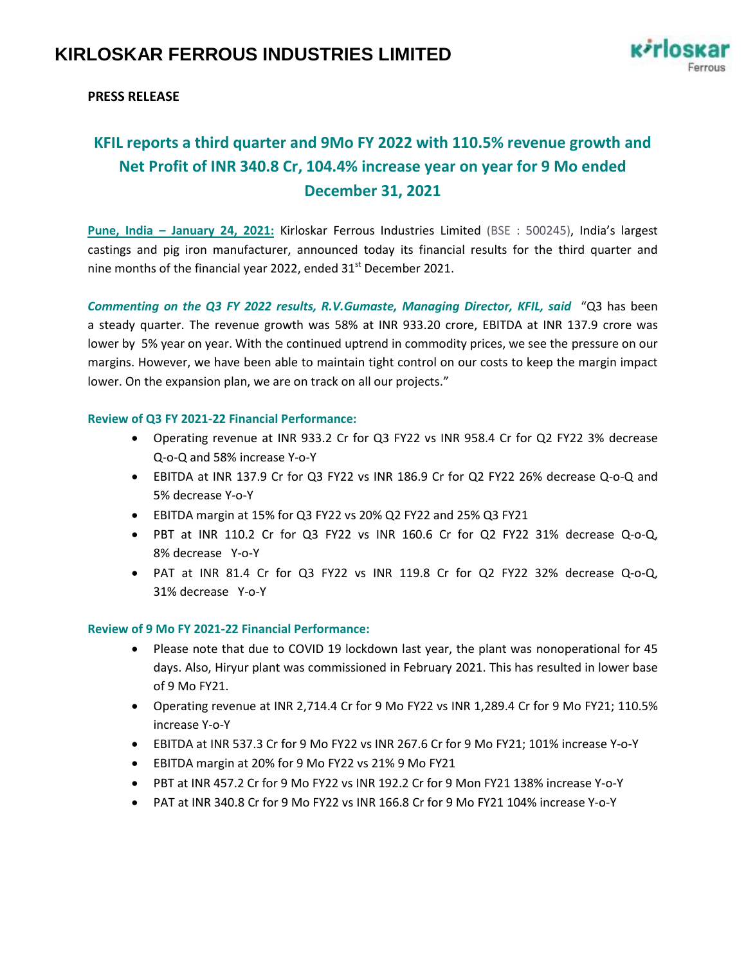

## **PRESS RELEASE**

# **KFIL reports a third quarter and 9Mo FY 2022 with 110.5% revenue growth and Net Profit of INR 340.8 Cr, 104.4% increase year on year for 9 Mo ended December 31, 2021**

**Pune, India – January 24, 2021:** Kirloskar Ferrous Industries Limited (BSE : 500245), India's largest castings and pig iron manufacturer, announced today its financial results for the third quarter and nine months of the financial year 2022, ended  $31<sup>st</sup>$  December 2021.

*Commenting on the Q3 FY 2022 results, R.V.Gumaste, Managing Director, KFIL, said* "Q3 has been a steady quarter. The revenue growth was 58% at INR 933.20 crore, EBITDA at INR 137.9 crore was lower by 5% year on year. With the continued uptrend in commodity prices, we see the pressure on our margins. However, we have been able to maintain tight control on our costs to keep the margin impact lower. On the expansion plan, we are on track on all our projects."

#### **Review of Q3 FY 2021-22 Financial Performance:**

- Operating revenue at INR 933.2 Cr for Q3 FY22 vs INR 958.4 Cr for Q2 FY22 3% decrease Q-o-Q and 58% increase Y-o-Y
- EBITDA at INR 137.9 Cr for Q3 FY22 vs INR 186.9 Cr for Q2 FY22 26% decrease Q-o-Q and 5% decrease Y-o-Y
- EBITDA margin at 15% for Q3 FY22 vs 20% Q2 FY22 and 25% Q3 FY21
- PBT at INR 110.2 Cr for Q3 FY22 vs INR 160.6 Cr for Q2 FY22 31% decrease Q-o-Q, 8% decrease Y-o-Y
- PAT at INR 81.4 Cr for Q3 FY22 vs INR 119.8 Cr for Q2 FY22 32% decrease Q-o-Q, 31% decrease Y-o-Y

#### **Review of 9 Mo FY 2021-22 Financial Performance:**

- Please note that due to COVID 19 lockdown last year, the plant was nonoperational for 45 days. Also, Hiryur plant was commissioned in February 2021. This has resulted in lower base of 9 Mo FY21.
- Operating revenue at INR 2,714.4 Cr for 9 Mo FY22 vs INR 1,289.4 Cr for 9 Mo FY21; 110.5% increase Y-o-Y
- EBITDA at INR 537.3 Cr for 9 Mo FY22 vs INR 267.6 Cr for 9 Mo FY21; 101% increase Y-o-Y
- EBITDA margin at 20% for 9 Mo FY22 vs 21% 9 Mo FY21
- PBT at INR 457.2 Cr for 9 Mo FY22 vs INR 192.2 Cr for 9 Mon FY21 138% increase Y-o-Y
- PAT at INR 340.8 Cr for 9 Mo FY22 vs INR 166.8 Cr for 9 Mo FY21 104% increase Y-o-Y